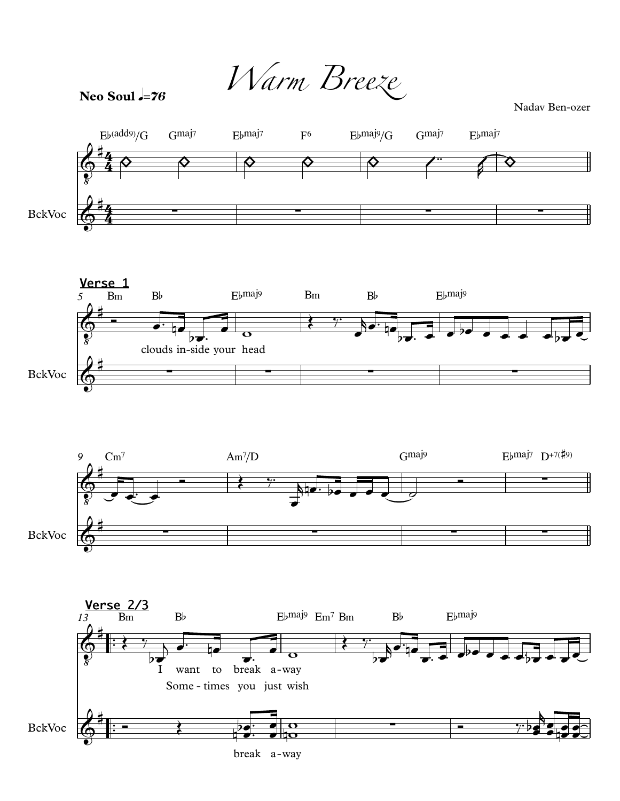Warm Breeze

Neo Soul  $=76$ 

Nadav Ben-ozer







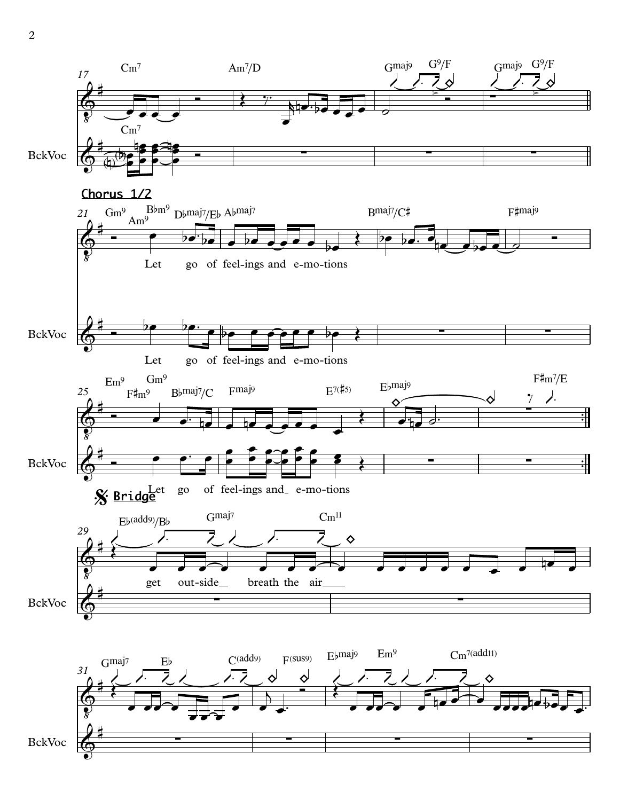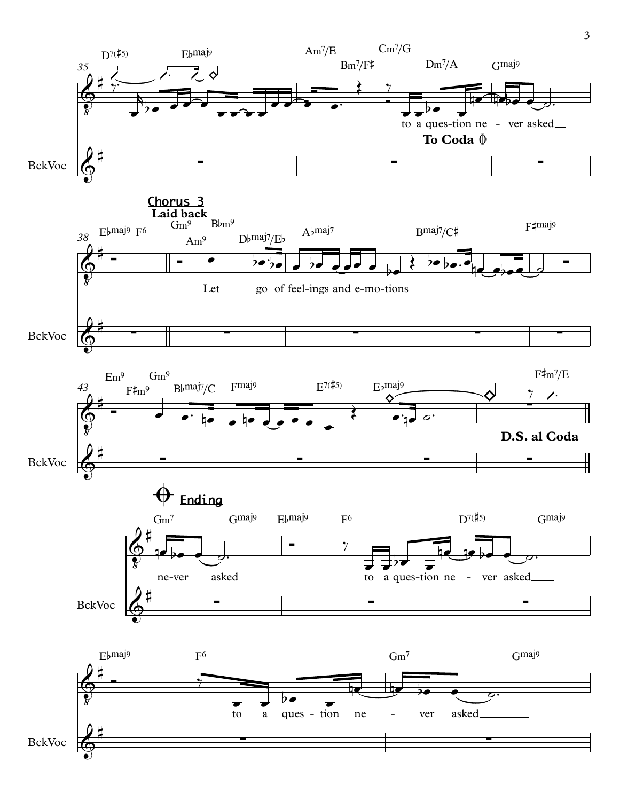